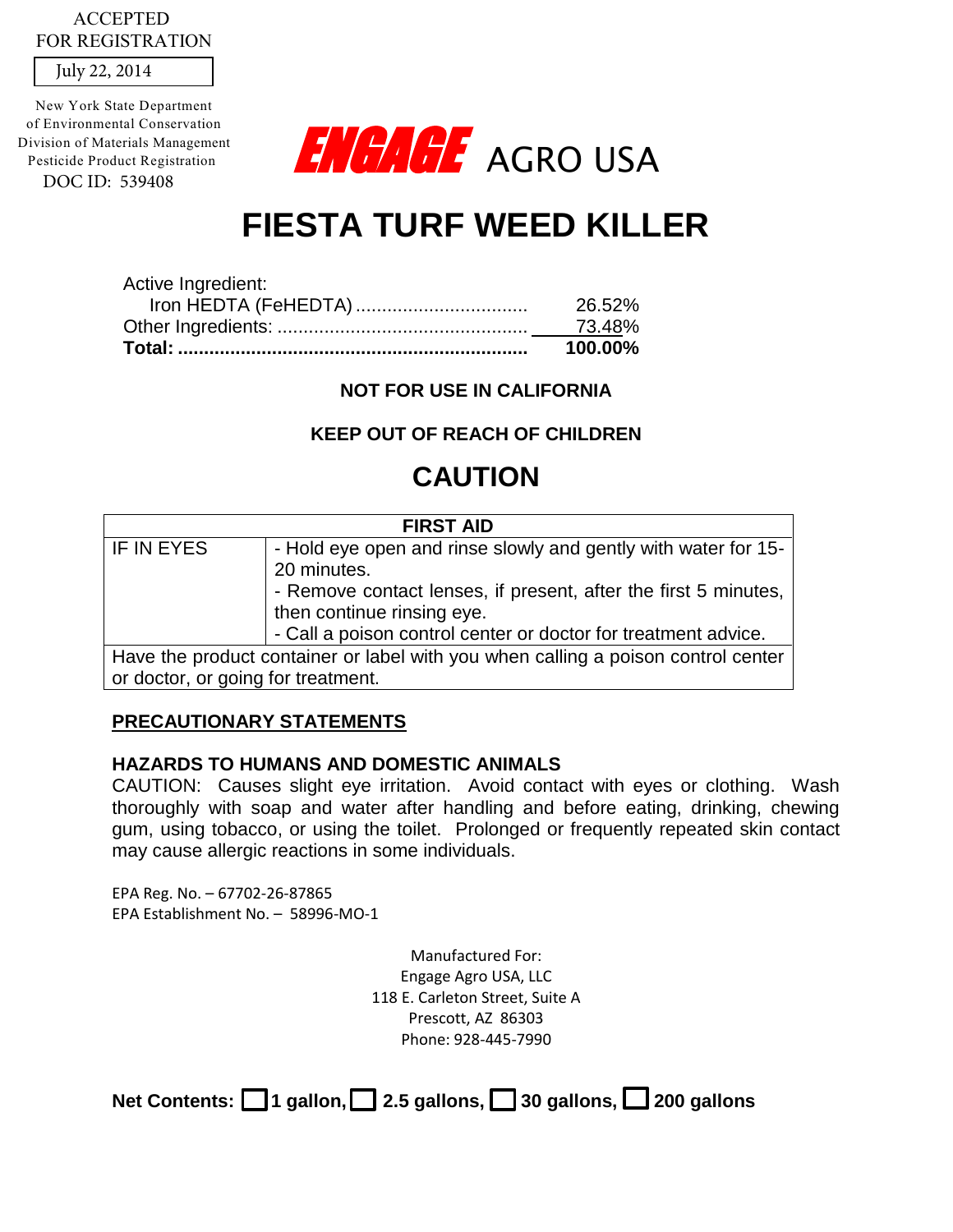## ACCEPTED FOR REGISTRATION

July 22, 2014

DOC ID: 539408 New York State Department of Environmental Conservation Division of Materials Management Pesticide Product Registration



# **FIESTA TURF WEED KILLER**

|                    | 100.00% |
|--------------------|---------|
|                    | 73.48%  |
|                    | 26.52%  |
| Active Ingredient: |         |

**NOT FOR USE IN CALIFORNIA** 

# **KEEP OUT OF REACH OF CHILDREN**

# **CAUTION**

| <b>FIRST AID</b>                                                                  |                                                                 |  |  |
|-----------------------------------------------------------------------------------|-----------------------------------------------------------------|--|--|
| IF IN EYES                                                                        | - Hold eye open and rinse slowly and gently with water for 15-  |  |  |
|                                                                                   | 20 minutes.                                                     |  |  |
|                                                                                   | - Remove contact lenses, if present, after the first 5 minutes, |  |  |
|                                                                                   | then continue rinsing eye.                                      |  |  |
|                                                                                   | - Call a poison control center or doctor for treatment advice.  |  |  |
| Have the product container or label with you when calling a poison control center |                                                                 |  |  |
| or doctor, or going for treatment.                                                |                                                                 |  |  |

# **PRECAUTIONARY STATEMENTS**

#### **HAZARDS TO HUMANS AND DOMESTIC ANIMALS**

CAUTION: Causes slight eye irritation. Avoid contact with eyes or clothing. Wash thoroughly with soap and water after handling and before eating, drinking, chewing gum, using tobacco, or using the toilet. Prolonged or frequently repeated skin contact may cause allergic reactions in some individuals.

EPA Reg. No. – 67702-26-87865 EPA Establishment No. – 58996-MO-1

> Manufactured For: Engage Agro USA, LLC 118 E. Carleton Street, Suite A Prescott, AZ 86303 Phone: 928-445-7990

Net Contents: **1** gallon, **1** 2.5 gallons, **1** 30 gallons, **1** 200 gallons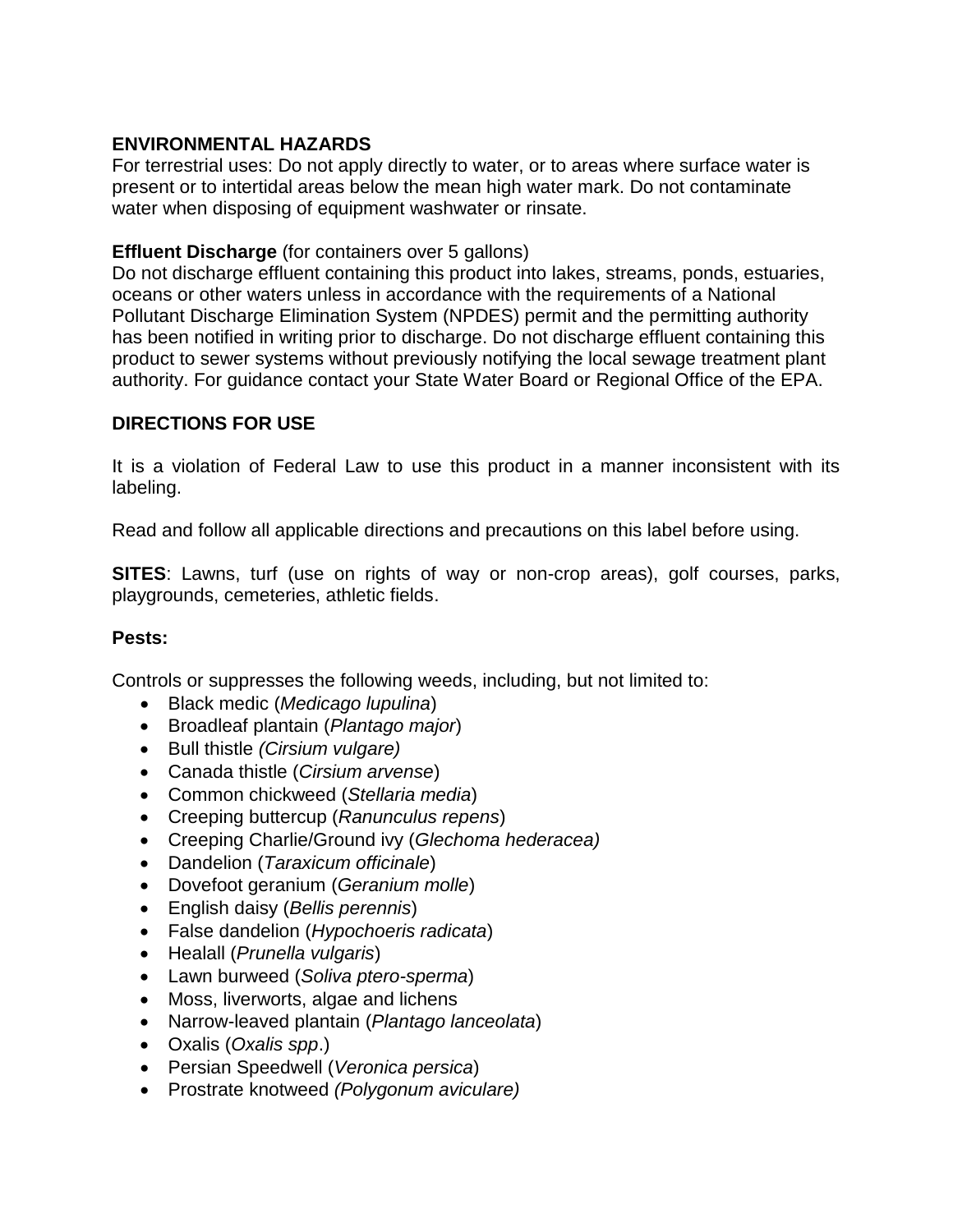# **ENVIRONMENTAL HAZARDS**

For terrestrial uses: Do not apply directly to water, or to areas where surface water is present or to intertidal areas below the mean high water mark. Do not contaminate water when disposing of equipment washwater or rinsate.

#### **Effluent Discharge** (for containers over 5 gallons)

Do not discharge effluent containing this product into lakes, streams, ponds, estuaries, oceans or other waters unless in accordance with the requirements of a National Pollutant Discharge Elimination System (NPDES) permit and the permitting authority has been notified in writing prior to discharge. Do not discharge effluent containing this product to sewer systems without previously notifying the local sewage treatment plant authority. For guidance contact your State Water Board or Regional Office of the EPA.

# **DIRECTIONS FOR USE**

It is a violation of Federal Law to use this product in a manner inconsistent with its labeling.

Read and follow all applicable directions and precautions on this label before using.

**SITES**: Lawns, turf (use on rights of way or non-crop areas), golf courses, parks, playgrounds, cemeteries, athletic fields.

#### **Pests:**

Controls or suppresses the following weeds, including, but not limited to:

- Black medic (*Medicago lupulina*)
- Broadleaf plantain (*Plantago major*)
- Bull thistle *(Cirsium vulgare)*
- Canada thistle (*Cirsium arvense*)
- Common chickweed (*Stellaria media*)
- Creeping buttercup (*Ranunculus repens*)
- Creeping Charlie/Ground ivy (*Glechoma hederacea)*
- Dandelion (*Taraxicum officinale*)
- Dovefoot geranium (*Geranium molle*)
- English daisy (*Bellis perennis*)
- False dandelion (*Hypochoeris radicata*)
- Healall (*Prunella vulgaris*)
- Lawn burweed (*Soliva ptero-sperma*)
- Moss, liverworts, algae and lichens
- Narrow-leaved plantain (*Plantago lanceolata*)
- Oxalis (*Oxalis spp*.)
- Persian Speedwell (*Veronica persica*)
- Prostrate knotweed *(Polygonum aviculare)*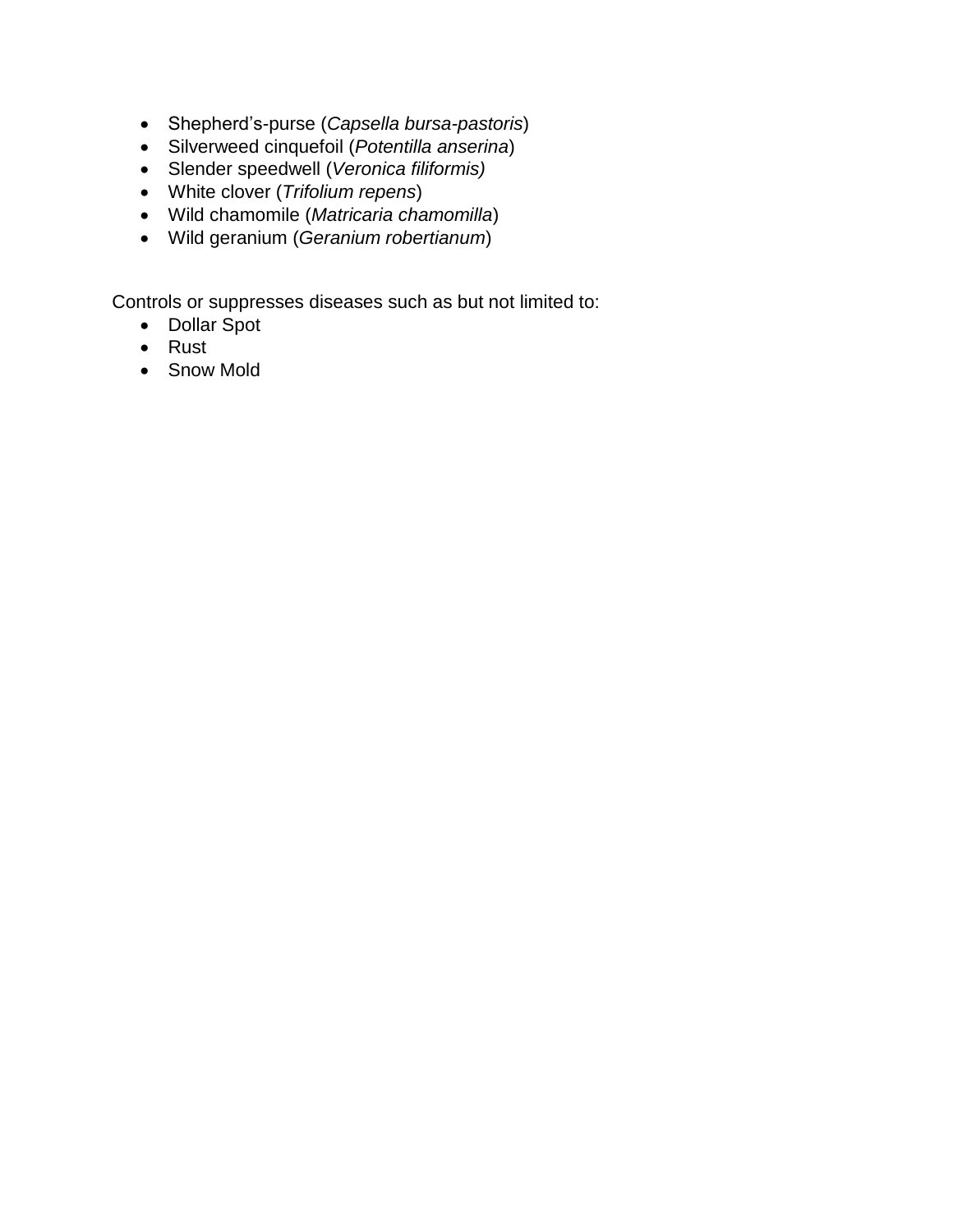- Shepherd's-purse (*Capsella bursa-pastoris*)
- Silverweed cinquefoil (*Potentilla anserina*)
- Slender speedwell (*Veronica filiformis)*
- White clover (*Trifolium repens*)
- Wild chamomile (*Matricaria chamomilla*)
- Wild geranium (*Geranium robertianum*)

Controls or suppresses diseases such as but not limited to:

- Dollar Spot
- Rust
- Snow Mold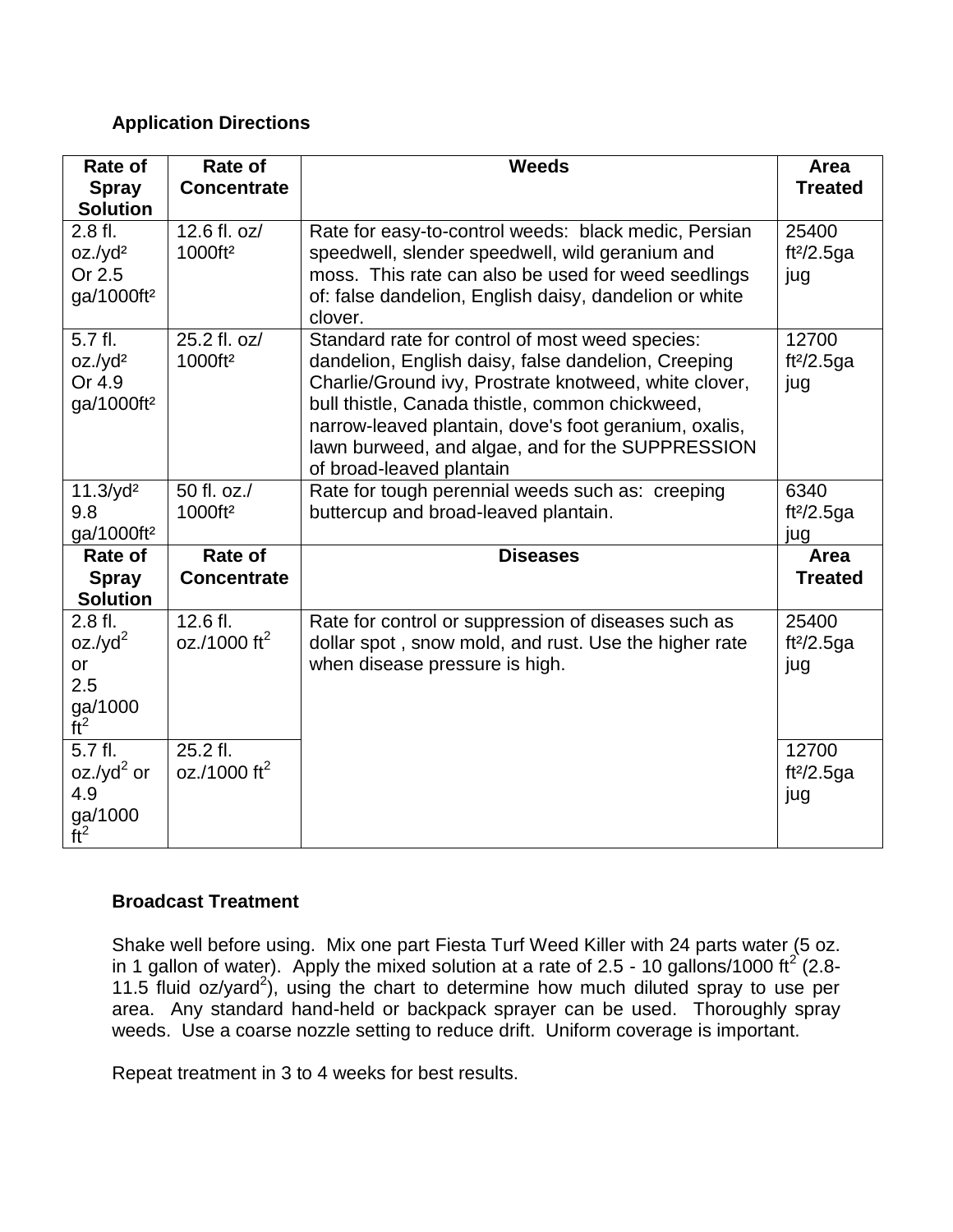# **Application Directions**

| Rate of<br><b>Spray</b><br><b>Solution</b>                         | Rate of<br><b>Concentrate</b>        | <b>Weeds</b>                                                                                                                                                                                                                                                                                                                                                | Area<br><b>Treated</b>                 |
|--------------------------------------------------------------------|--------------------------------------|-------------------------------------------------------------------------------------------------------------------------------------------------------------------------------------------------------------------------------------------------------------------------------------------------------------------------------------------------------------|----------------------------------------|
| 2.8 fl.<br>$oz./yd^2$<br>Or 2.5<br>ga/1000ft <sup>2</sup>          | 12.6 fl. oz/<br>1000ft <sup>2</sup>  | Rate for easy-to-control weeds: black medic, Persian<br>speedwell, slender speedwell, wild geranium and<br>moss. This rate can also be used for weed seedlings<br>of: false dandelion, English daisy, dandelion or white<br>clover.                                                                                                                         | 25400<br>ft <sup>2</sup> /2.5ga<br>jug |
| 5.7 fl.<br>$oz./yd^2$<br>Or 4.9<br>ga/1000ft <sup>2</sup>          | 25.2 fl. oz/<br>1000ft <sup>2</sup>  | Standard rate for control of most weed species:<br>dandelion, English daisy, false dandelion, Creeping<br>Charlie/Ground ivy, Prostrate knotweed, white clover,<br>bull thistle, Canada thistle, common chickweed,<br>narrow-leaved plantain, dove's foot geranium, oxalis,<br>lawn burweed, and algae, and for the SUPPRESSION<br>of broad-leaved plantain | 12700<br>ft <sup>2</sup> /2.5ga<br>jug |
| $11.3$ /yd <sup>2</sup><br>9.8<br>ga/1000ft <sup>2</sup>           | 50 fl. oz./<br>1000ft <sup>2</sup>   | Rate for tough perennial weeds such as: creeping<br>buttercup and broad-leaved plantain.                                                                                                                                                                                                                                                                    | 6340<br>ft $2/2.5$ ga<br>jug           |
| Rate of<br><b>Spray</b><br><b>Solution</b>                         | Rate of<br><b>Concentrate</b>        | <b>Diseases</b>                                                                                                                                                                                                                                                                                                                                             | Area<br><b>Treated</b>                 |
| 2.8 fl.<br>$oz./yd^2$<br>or<br>2.5<br>$ga/1000$<br>ft <sup>2</sup> | 12.6 fl.<br>oz./1000 ft <sup>2</sup> | Rate for control or suppression of diseases such as<br>dollar spot, snow mold, and rust. Use the higher rate<br>when disease pressure is high.                                                                                                                                                                                                              | 25400<br>ft $2/2.5$ ga<br>jug          |
| 5.7 fl.<br>oz./yd $^2$ or<br>4.9<br>ga/1000<br>ft <sup>2</sup>     | 25.2 fl.<br>oz./1000 ft <sup>2</sup> |                                                                                                                                                                                                                                                                                                                                                             | 12700<br>ft $2/2.5$ ga<br>jug          |

#### **Broadcast Treatment**

Shake well before using. Mix one part Fiesta Turf Weed Killer with 24 parts water (5 oz. in 1 gallon of water). Apply the mixed solution at a rate of 2.5 - 10 gallons/1000 ft<sup>2</sup> (2.8-11.5 fluid  $oz/yard^2$ ), using the chart to determine how much diluted spray to use per area. Any standard hand-held or backpack sprayer can be used. Thoroughly spray weeds. Use a coarse nozzle setting to reduce drift. Uniform coverage is important.

Repeat treatment in 3 to 4 weeks for best results.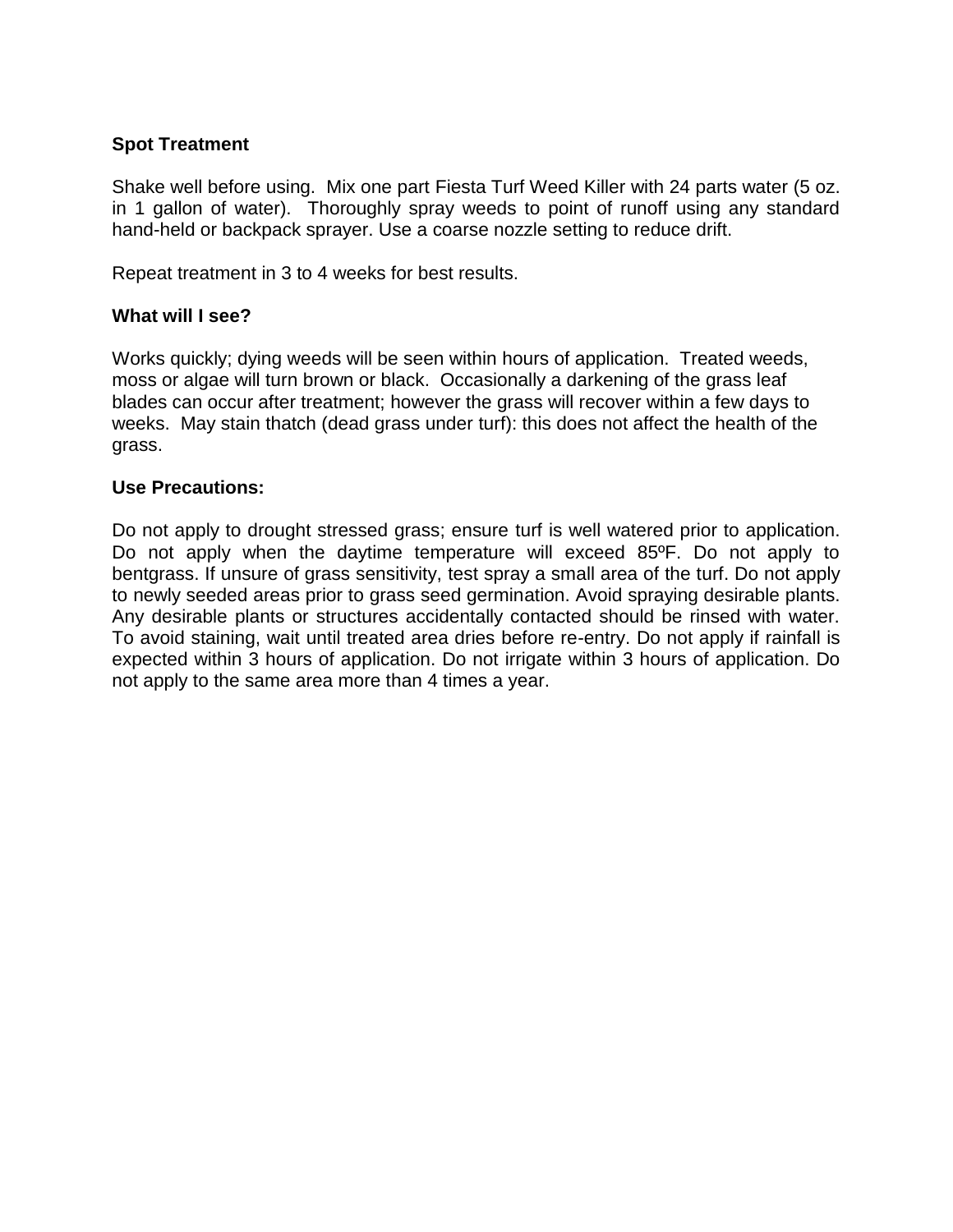## **Spot Treatment**

Shake well before using. Mix one part Fiesta Turf Weed Killer with 24 parts water (5 oz. in 1 gallon of water). Thoroughly spray weeds to point of runoff using any standard hand-held or backpack sprayer. Use a coarse nozzle setting to reduce drift.

Repeat treatment in 3 to 4 weeks for best results.

#### **What will I see?**

Works quickly; dying weeds will be seen within hours of application. Treated weeds, moss or algae will turn brown or black.Occasionally a darkening of the grass leaf blades can occur after treatment; however the grass will recover within a few days to weeks. May stain thatch (dead grass under turf): this does not affect the health of the grass.

#### **Use Precautions:**

Do not apply to drought stressed grass; ensure turf is well watered prior to application. Do not apply when the daytime temperature will exceed 85ºF. Do not apply to bentgrass. If unsure of grass sensitivity, test spray a small area of the turf. Do not apply to newly seeded areas prior to grass seed germination. Avoid spraying desirable plants. Any desirable plants or structures accidentally contacted should be rinsed with water. To avoid staining, wait until treated area dries before re-entry. Do not apply if rainfall is expected within 3 hours of application. Do not irrigate within 3 hours of application. Do not apply to the same area more than 4 times a year.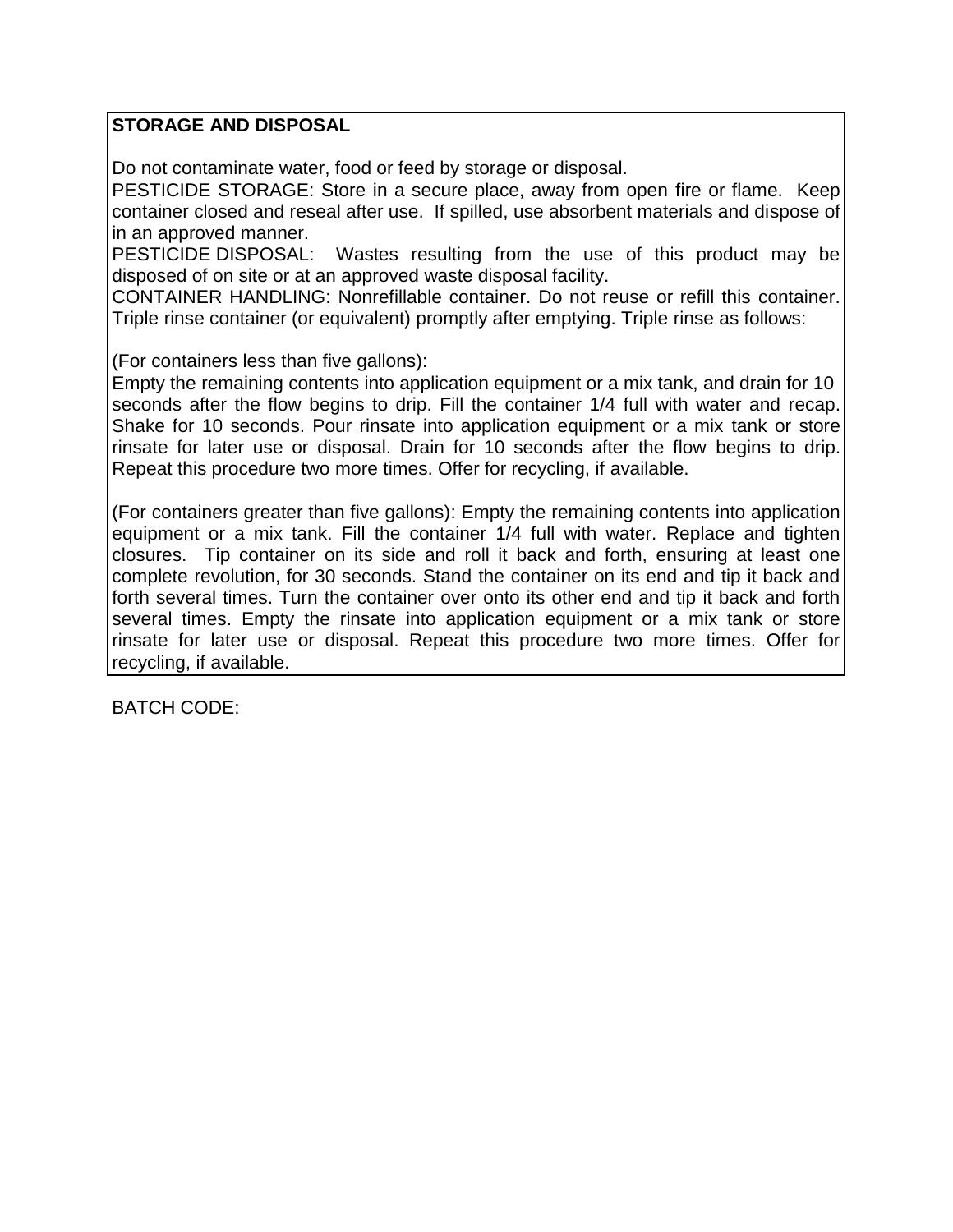# **STORAGE AND DISPOSAL**

Do not contaminate water, food or feed by storage or disposal.

PESTICIDE STORAGE: Store in a secure place, away from open fire or flame. Keep container closed and reseal after use. If spilled, use absorbent materials and dispose of in an approved manner.

PESTICIDE DISPOSAL: Wastes resulting from the use of this product may be disposed of on site or at an approved waste disposal facility.

CONTAINER HANDLING: Nonrefillable container. Do not reuse or refill this container. Triple rinse container (or equivalent) promptly after emptying. Triple rinse as follows:

(For containers less than five gallons):

Empty the remaining contents into application equipment or a mix tank, and drain for 10 seconds after the flow begins to drip. Fill the container 1/4 full with water and recap. Shake for 10 seconds. Pour rinsate into application equipment or a mix tank or store rinsate for later use or disposal. Drain for 10 seconds after the flow begins to drip. Repeat this procedure two more times. Offer for recycling, if available.

(For containers greater than five gallons): Empty the remaining contents into application equipment or a mix tank. Fill the container 1/4 full with water. Replace and tighten closures. Tip container on its side and roll it back and forth, ensuring at least one complete revolution, for 30 seconds. Stand the container on its end and tip it back and forth several times. Turn the container over onto its other end and tip it back and forth several times. Empty the rinsate into application equipment or a mix tank or store rinsate for later use or disposal. Repeat this procedure two more times. Offer for recycling, if available.

BATCH CODE: